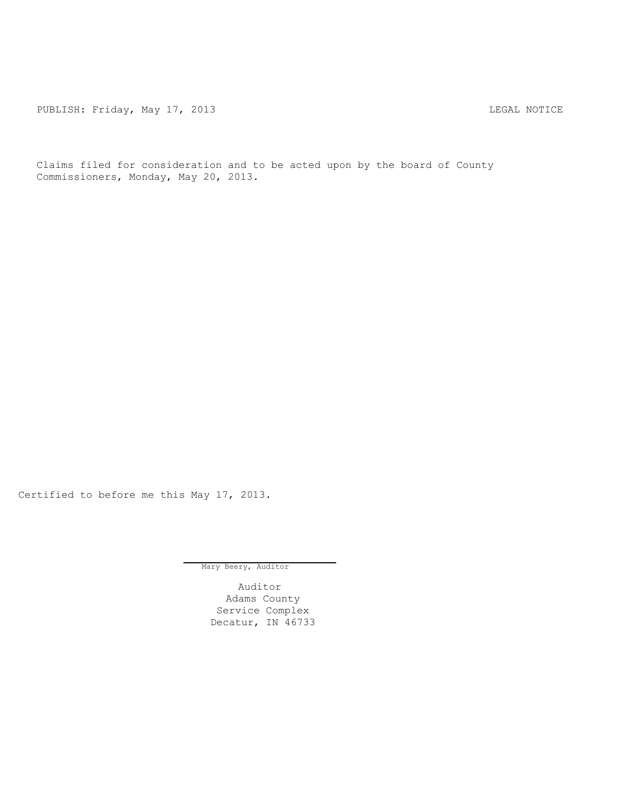PUBLISH: Friday, May 17, 2013 2008 2009 2014 2021 2022 2023

Claims filed for consideration and to be acted upon by the board of County Commissioners, Monday, May 20, 2013.

Certified to before me this May 17, 2013.

Mary Beery, Auditor

Auditor Adams County Service Complex Decatur, IN 46733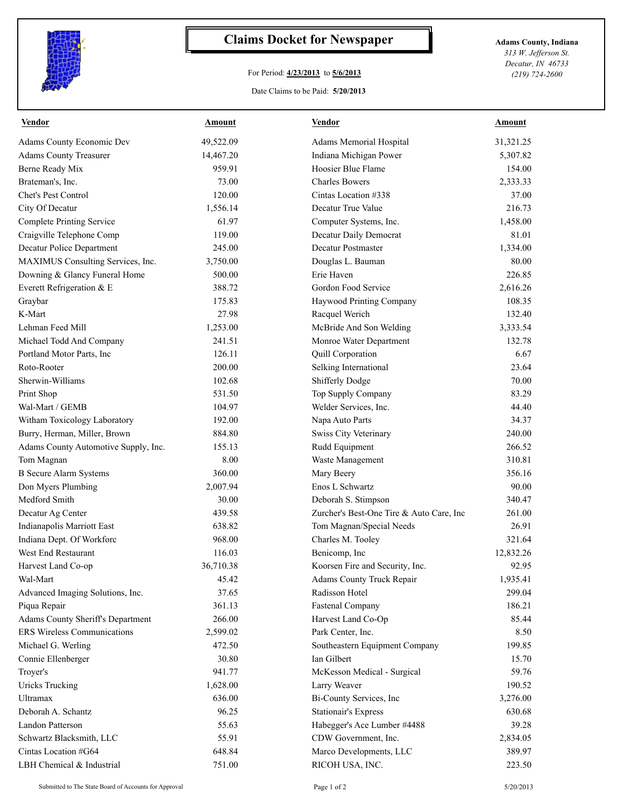

## **Claims Docket for Newspaper Adams County, Indiana**

## For Period: **4/23/2013** to **5/6/2013**

Date Claims to be Paid: **5/20/2013**

*313 W. Jefferson St. Decatur, IN 46733 (219) 724-2600*

|                                          |           |                                          | Amount    |
|------------------------------------------|-----------|------------------------------------------|-----------|
| <b>Adams County Economic Dev</b>         | 49,522.09 | Adams Memorial Hospital                  | 31,321.25 |
| <b>Adams County Treasurer</b>            | 14,467.20 | Indiana Michigan Power                   | 5,307.82  |
| Berne Ready Mix                          | 959.91    | Hoosier Blue Flame                       | 154.00    |
| Brateman's, Inc.                         | 73.00     | <b>Charles Bowers</b>                    | 2,333.33  |
| <b>Chet's Pest Control</b>               | 120.00    | Cintas Location #338                     | 37.00     |
| City Of Decatur                          | 1,556.14  | Decatur True Value                       | 216.73    |
| <b>Complete Printing Service</b>         | 61.97     | Computer Systems, Inc.                   | 1,458.00  |
| Craigville Telephone Comp                | 119.00    | Decatur Daily Democrat                   | 81.01     |
| <b>Decatur Police Department</b>         | 245.00    | Decatur Postmaster                       | 1,334.00  |
| MAXIMUS Consulting Services, Inc.        | 3,750.00  | Douglas L. Bauman                        | 80.00     |
| Downing & Glancy Funeral Home            | 500.00    | Erie Haven                               | 226.85    |
| Everett Refrigeration & E                | 388.72    | Gordon Food Service                      | 2,616.26  |
| Graybar                                  | 175.83    | Haywood Printing Company                 | 108.35    |
| K-Mart                                   | 27.98     | Racquel Werich                           | 132.40    |
| Lehman Feed Mill                         | 1,253.00  | McBride And Son Welding                  | 3,333.54  |
| Michael Todd And Company                 | 241.51    | Monroe Water Department                  | 132.78    |
| Portland Motor Parts, Inc                | 126.11    | Quill Corporation                        | 6.67      |
| Roto-Rooter                              | 200.00    | Selking International                    | 23.64     |
| Sherwin-Williams                         | 102.68    | <b>Shifferly Dodge</b>                   | 70.00     |
| Print Shop                               | 531.50    | Top Supply Company                       | 83.29     |
| Wal-Mart / GEMB                          | 104.97    | Welder Services, Inc.                    | 44.40     |
| Witham Toxicology Laboratory             | 192.00    | Napa Auto Parts                          | 34.37     |
| Burry, Herman, Miller, Brown             | 884.80    | Swiss City Veterinary                    | 240.00    |
| Adams County Automotive Supply, Inc.     | 155.13    | Rudd Equipment                           | 266.52    |
| Tom Magnan                               | 8.00      | Waste Management                         | 310.81    |
| <b>B</b> Secure Alarm Systems            | 360.00    | Mary Beery                               | 356.16    |
| Don Myers Plumbing                       | 2,007.94  | Enos L Schwartz                          | 90.00     |
| Medford Smith                            | 30.00     | Deborah S. Stimpson                      | 340.47    |
| Decatur Ag Center                        | 439.58    | Zurcher's Best-One Tire & Auto Care, Inc | 261.00    |
| <b>Indianapolis Marriott East</b>        | 638.82    | Tom Magnan/Special Needs                 | 26.91     |
| Indiana Dept. Of Workforc                | 968.00    | Charles M. Tooley                        | 321.64    |
| West End Restaurant                      | 116.03    | Benicomp, Inc                            | 12,832.26 |
| Harvest Land Co-op                       | 36,710.38 | Koorsen Fire and Security, Inc.          | 92.95     |
| Wal-Mart                                 | 45.42     | Adams County Truck Repair                | 1,935.41  |
| Advanced Imaging Solutions, Inc.         | 37.65     | Radisson Hotel                           | 299.04    |
| Piqua Repair                             | 361.13    | <b>Fastenal Company</b>                  | 186.21    |
| <b>Adams County Sheriff's Department</b> | 266.00    | Harvest Land Co-Op                       | 85.44     |
| <b>ERS Wireless Communications</b>       | 2,599.02  | Park Center, Inc.                        | 8.50      |
| Michael G. Werling                       | 472.50    | Southeastern Equipment Company           | 199.85    |
| Connie Ellenberger                       | 30.80     | Ian Gilbert                              | 15.70     |
| Troyer's                                 | 941.77    | McKesson Medical - Surgical              | 59.76     |
| <b>Uricks Trucking</b>                   | 1,628.00  | Larry Weaver                             | 190.52    |
| <b>Ultramax</b>                          | 636.00    | Bi-County Services, Inc                  | 3,276.00  |
| Deborah A. Schantz                       | 96.25     | <b>Stationair's Express</b>              | 630.68    |
| <b>Landon Patterson</b>                  | 55.63     | Habegger's Ace Lumber #4488              | 39.28     |
| Schwartz Blacksmith, LLC                 | 55.91     | CDW Government, Inc.                     | 2,834.05  |
| Cintas Location #G64                     | 648.84    | Marco Developments, LLC                  | 389.97    |
| LBH Chemical & Industrial                | 751.00    | RICOH USA, INC.                          | 223.50    |